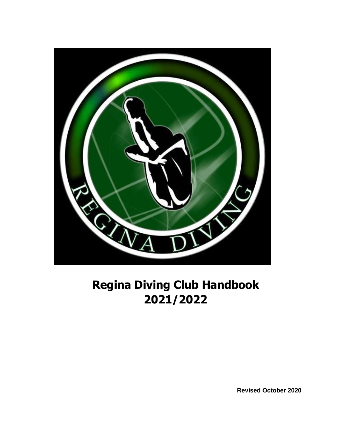

# **Regina Diving Club Handbook 2021/2022**

**Revised October 2020**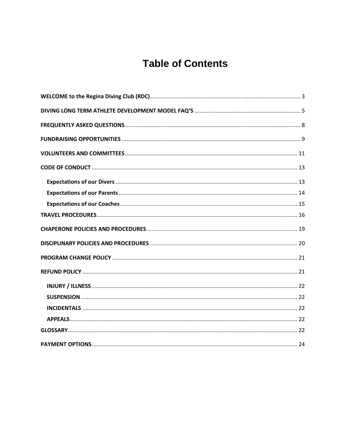# **Table of Contents**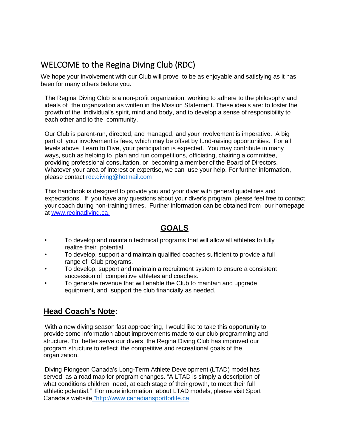## <span id="page-2-0"></span>WELCOME to the Regina Diving Club (RDC)

We hope your involvement with our Club will prove to be as enjoyable and satisfying as it has been for many others before you.

The Regina Diving Club is a non-profit organization, working to adhere to the philosophy and ideals of the organization as written in the Mission Statement. These ideals are: to foster the growth of the individual's spirit, mind and body, and to develop a sense of responsibility to each other and to the community.

Our Club is parent-run, directed, and managed, and your involvement is imperative. A big part of your involvement is fees, which may be offset by fund-raising opportunities. For all levels above Learn to Dive, your participation is expected. You may contribute in many ways, such as helping to plan and run competitions, officiating, chairing a committee, providing professional consultation, or becoming a member of the Board of Directors. Whatever your area of interest or expertise, we can use your help. For further information, please contact [rdc.diving@hotmail.com](mailto:rdc.diving@hotmail.com)

This handbook is designed to provide you and your diver with general guidelines and expectations. If you have any questions about your diver's program, please feel free to contact your coach during non-training times. Further information can be obtained from our homepage at [www.reginadiving.ca.](http://www.reginadiving.ca/)

## **GOALS**

- To develop and maintain technical programs that will allow all athletes to fully realize their potential.
- To develop, support and maintain qualified coaches sufficient to provide a full range of Club programs.
- To develop, support and maintain a recruitment system to ensure a consistent succession of competitive athletes and coaches.
- To generate revenue that will enable the Club to maintain and upgrade equipment, and support the club financially as needed.

## **Head Coach's Note:**

With a new diving season fast approaching, I would like to take this opportunity to provide some information about improvements made to our club programming and structure. To better serve our divers, the Regina Diving Club has improved our program structure to reflect the competitive and recreational goals of the organization.

Diving Plongeon Canada's Long-Term Athlete Development (LTAD) model has served as a road map for program changes. "A LTAD is simply a description of what conditions children need, at each stage of their growth, to meet their full athletic potential." For more information about LTAD models, please visit Sport Canada's website ["http://www.canadiansportforlife.ca](%22http:/www.canadiansportforlife.ca/%22%20at%20%20HYPERLINK%20%22http:/www.canadiansportforlife.ca/%22www.canadiansportforlife.ca.)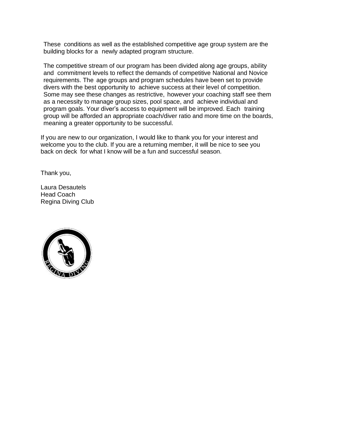These conditions as well as the established competitive age group system are the building blocks for a newly adapted program structure.

The competitive stream of our program has been divided along age groups, ability and commitment levels to reflect the demands of competitive National and Novice requirements. The age groups and program schedules have been set to provide divers with the best opportunity to achieve success at their level of competition. Some may see these changes as restrictive, however your coaching staff see them as a necessity to manage group sizes, pool space, and achieve individual and program goals. Your diver's access to equipment will be improved. Each training group will be afforded an appropriate coach/diver ratio and more time on the boards, meaning a greater opportunity to be successful.

If you are new to our organization, I would like to thank you for your interest and welcome you to the club. If you are a returning member, it will be nice to see you back on deck for what I know will be a fun and successful season.

Thank you,

Laura Desautels Head Coach Regina Diving Club

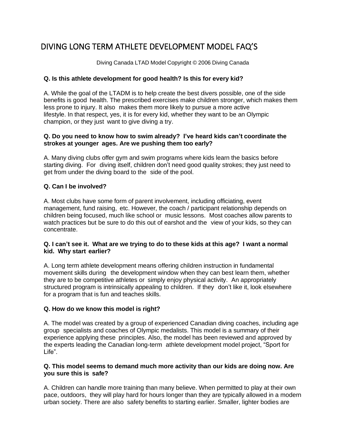## <span id="page-4-0"></span>DIVING LONG TERM ATHLETE DEVELOPMENT MODEL FAQ'S

Diving Canada LTAD Model Copyright © 2006 Diving Canada

## **Q. Is this athlete development for good health? Is this for every kid?**

A. While the goal of the LTADM is to help create the best divers possible, one of the side benefits is good health. The prescribed exercises make children stronger, which makes them less prone to injury. It also makes them more likely to pursue a more active lifestyle. In that respect, yes, it is for every kid, whether they want to be an Olympic champion, or they just want to give diving a try.

#### **Q. Do you need to know how to swim already? I've heard kids can't coordinate the strokes at younger ages. Are we pushing them too early?**

A. Many diving clubs offer gym and swim programs where kids learn the basics before starting diving. For diving itself, children don't need good quality strokes; they just need to get from under the diving board to the side of the pool.

## **Q. Can I be involved?**

A. Most clubs have some form of parent involvement, including officiating, event management, fund raising, etc. However, the coach / participant relationship depends on children being focused, much like school or music lessons. Most coaches allow parents to watch practices but be sure to do this out of earshot and the view of your kids, so they can concentrate.

#### **Q. I can't see it. What are we trying to do to these kids at this age? I want a normal kid. Why start earlier?**

A. Long term athlete development means offering children instruction in fundamental movement skills during the development window when they can best learn them, whether they are to be competitive athletes or simply enjoy physical activity. An appropriately structured program is intrinsically appealing to children. If they don't like it, look elsewhere for a program that is fun and teaches skills.

## **Q. How do we know this model is right?**

A. The model was created by a group of experienced Canadian diving coaches, including age group specialists and coaches of Olympic medalists. This model is a summary of their experience applying these principles. Also, the model has been reviewed and approved by the experts leading the Canadian long-term athlete development model project, "Sport for Life".

#### **Q. This model seems to demand much more activity than our kids are doing now. Are you sure this is safe?**

A. Children can handle more training than many believe. When permitted to play at their own pace, outdoors, they will play hard for hours longer than they are typically allowed in a modern urban society. There are also safety benefits to starting earlier. Smaller, lighter bodies are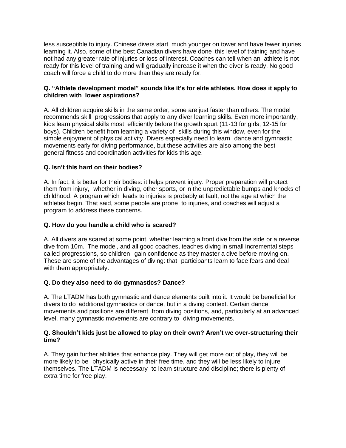less susceptible to injury. Chinese divers start much younger on tower and have fewer injuries learning it. Also, some of the best Canadian divers have done this level of training and have not had any greater rate of injuries or loss of interest. Coaches can tell when an athlete is not ready for this level of training and will gradually increase it when the diver is ready. No good coach will force a child to do more than they are ready for.

## **Q. "Athlete development model" sounds like it's for elite athletes. How does it apply to children with lower aspirations?**

A. All children acquire skills in the same order; some are just faster than others. The model recommends skill progressions that apply to any diver learning skills. Even more importantly, kids learn physical skills most efficiently before the growth spurt (11-13 for girls, 12-15 for boys). Children benefit from learning a variety of skills during this window, even for the simple enjoyment of physical activity. Divers especially need to learn dance and gymnastic movements early for diving performance, but these activities are also among the best general fitness and coordination activities for kids this age.

## **Q. Isn't this hard on their bodies?**

A. In fact, it is better for their bodies: it helps prevent injury. Proper preparation will protect them from injury, whether in diving, other sports, or in the unpredictable bumps and knocks of childhood. A program which leads to injuries is probably at fault, not the age at which the athletes begin. That said, some people are prone to injuries, and coaches will adjust a program to address these concerns.

## **Q. How do you handle a child who is scared?**

A. All divers are scared at some point, whether learning a front dive from the side or a reverse dive from 10m. The model, and all good coaches, teaches diving in small incremental steps called progressions, so children gain confidence as they master a dive before moving on. These are some of the advantages of diving: that participants learn to face fears and deal with them appropriately.

## **Q. Do they also need to do gymnastics? Dance?**

A. The LTADM has both gymnastic and dance elements built into it. It would be beneficial for divers to do additional gymnastics or dance, but in a diving context. Certain dance movements and positions are different from diving positions, and, particularly at an advanced level, many gymnastic movements are contrary to diving movements.

#### **Q. Shouldn't kids just be allowed to play on their own? Aren't we over-structuring their time?**

A. They gain further abilities that enhance play. They will get more out of play, they will be more likely to be physically active in their free time, and they will be less likely to injure themselves. The LTADM is necessary to learn structure and discipline; there is plenty of extra time for free play.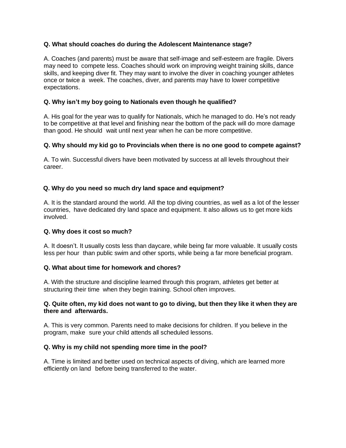## **Q. What should coaches do during the Adolescent Maintenance stage?**

A. Coaches (and parents) must be aware that self-image and self-esteem are fragile. Divers may need to compete less. Coaches should work on improving weight training skills, dance skills, and keeping diver fit. They may want to involve the diver in coaching younger athletes once or twice a week. The coaches, diver, and parents may have to lower competitive expectations.

#### **Q. Why isn't my boy going to Nationals even though he qualified?**

A. His goal for the year was to qualify for Nationals, which he managed to do. He's not ready to be competitive at that level and finishing near the bottom of the pack will do more damage than good. He should wait until next year when he can be more competitive.

#### **Q. Why should my kid go to Provincials when there is no one good to compete against?**

A. To win. Successful divers have been motivated by success at all levels throughout their career.

## **Q. Why do you need so much dry land space and equipment?**

A. It is the standard around the world. All the top diving countries, as well as a lot of the lesser countries, have dedicated dry land space and equipment. It also allows us to get more kids involved.

#### **Q. Why does it cost so much?**

A. It doesn't. It usually costs less than daycare, while being far more valuable. It usually costs less per hour than public swim and other sports, while being a far more beneficial program.

## **Q. What about time for homework and chores?**

A. With the structure and discipline learned through this program, athletes get better at structuring their time when they begin training. School often improves.

#### **Q. Quite often, my kid does not want to go to diving, but then they like it when they are there and afterwards.**

A. This is very common. Parents need to make decisions for children. If you believe in the program, make sure your child attends all scheduled lessons.

## **Q. Why is my child not spending more time in the pool?**

A. Time is limited and better used on technical aspects of diving, which are learned more efficiently on land before being transferred to the water.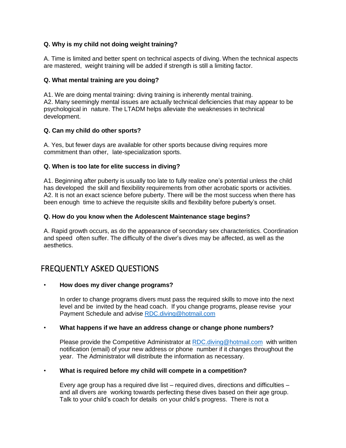## **Q. Why is my child not doing weight training?**

A. Time is limited and better spent on technical aspects of diving. When the technical aspects are mastered, weight training will be added if strength is still a limiting factor.

#### **Q. What mental training are you doing?**

A1. We are doing mental training: diving training is inherently mental training. A2. Many seemingly mental issues are actually technical deficiencies that may appear to be psychological in nature. The LTADM helps alleviate the weaknesses in technical development.

#### **Q. Can my child do other sports?**

A. Yes, but fewer days are available for other sports because diving requires more commitment than other, late-specialization sports.

#### **Q. When is too late for elite success in diving?**

A1. Beginning after puberty is usually too late to fully realize one's potential unless the child has developed the skill and flexibility requirements from other acrobatic sports or activities. A2. It is not an exact science before puberty. There will be the most success when there has been enough time to achieve the requisite skills and flexibility before puberty's onset.

#### **Q. How do you know when the Adolescent Maintenance stage begins?**

A. Rapid growth occurs, as do the appearance of secondary sex characteristics. Coordination and speed often suffer. The difficulty of the diver's dives may be affected, as well as the aesthetics.

## <span id="page-7-0"></span>FREQUENTLY ASKED QUESTIONS

#### • **How does my diver change programs?**

In order to change programs divers must pass the required skills to move into the next level and be invited by the head coach. If you change programs, please revise your Payment Schedule and advise [RDC.diving@hotmail.com](mailto:RDC.diving@hotmail.com)

#### • **What happens if we have an address change or change phone numbers?**

Please provide the Competitive Administrator at [RDC.diving@hotmail.com](mailto:RDC.diving@hotmail.com) with written notification (email) of your new address or phone number if it changes throughout the year. The Administrator will distribute the information as necessary.

## • **What is required before my child will compete in a competition?**

Every age group has a required dive list – required dives, directions and difficulties – and all divers are working towards perfecting these dives based on their age group. Talk to your child's coach for details on your child's progress. There is not a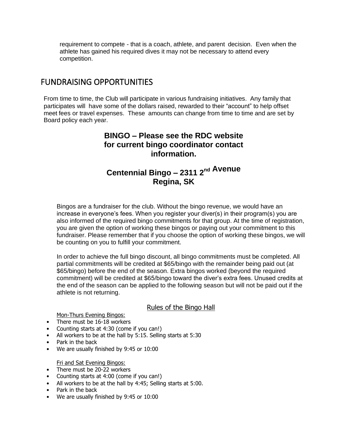requirement to compete - that is a coach, athlete, and parent decision. Even when the athlete has gained his required dives it may not be necessary to attend every competition.

## <span id="page-8-0"></span>FUNDRAISING OPPORTUNITIES

From time to time, the Club will participate in various fundraising initiatives. Any family that participates will have some of the dollars raised, rewarded to their "account" to help offset meet fees or travel expenses. These amounts can change from time to time and are set by Board policy each year.

## **BINGO – Please see the RDC website for current bingo coordinator contact information.**

## **Centennial Bingo – 2311 2 nd Avenue Regina, SK**

Bingos are a fundraiser for the club. Without the bingo revenue, we would have an increase in everyone's fees. When you register your diver(s) in their program(s) you are also informed of the required bingo commitments for that group. At the time of registration, you are given the option of working these bingos or paying out your commitment to this fundraiser. Please remember that if you choose the option of working these bingos, we will be counting on you to fulfill your commitment.

In order to achieve the full bingo discount, all bingo commitments must be completed. All partial commitments will be credited at \$65/bingo with the remainder being paid out (at \$65/bingo) before the end of the season. Extra bingos worked (beyond the required commitment) will be credited at \$65/bingo toward the diver's extra fees. Unused credits at the end of the season can be applied to the following season but will not be paid out if the athlete is not returning.

## Rules of the Bingo Hall

Mon-Thurs Evening Bingos:

- There must be 16-18 workers
- Counting starts at 4:30 (come if you can!)
- All workers to be at the hall by 5:15. Selling starts at 5:30
- Park in the back
- We are usually finished by 9:45 or 10:00

#### Fri and Sat Evening Bingos:

- There must be 20-22 workers
- Counting starts at 4:00 (come if you can!)
- All workers to be at the hall by 4:45; Selling starts at 5:00.
- Park in the back
- We are usually finished by 9:45 or 10:00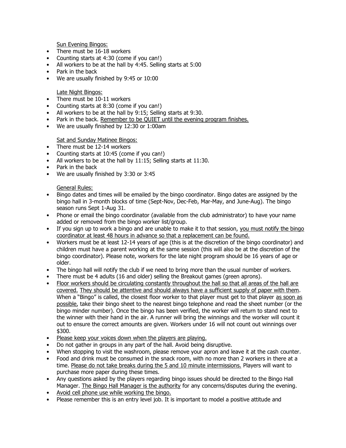Sun Evening Bingos:

- There must be 16-18 workers
- Counting starts at 4:30 (come if you can!)
- All workers to be at the hall by 4:45. Selling starts at 5:00
- Park in the back
- We are usually finished by 9:45 or 10:00

#### Late Night Bingos:

- There must be 10-11 workers
- Counting starts at 8:30 (come if you can!)
- All workers to be at the hall by 9:15; Selling starts at 9:30.
- Park in the back. Remember to be QUIET until the evening program finishes.
- We are usually finished by 12:30 or 1:00am

#### Sat and Sunday Matinee Bingos:

- There must be 12-14 workers
- Counting starts at 10:45 (come if you can!)
- All workers to be at the hall by 11:15; Selling starts at 11:30.
- Park in the back
- We are usually finished by 3:30 or 3:45

#### General Rules:

- Bingo dates and times will be emailed by the bingo coordinator. Bingo dates are assigned by the bingo hall in 3-month blocks of time (Sept-Nov, Dec-Feb, Mar-May, and June-Aug). The bingo season runs Sept 1-Aug 31.
- Phone or email the bingo coordinator (available from the club administrator) to have your name added or removed from the bingo worker list/group.
- If you sign up to work a bingo and are unable to make it to that session, you must notify the bingo coordinator at least 48 hours in advance so that a replacement can be found.
- Workers must be at least 12-14 years of age (this is at the discretion of the bingo coordinator) and children must have a parent working at the same session (this will also be at the discretion of the bingo coordinator). Please note, workers for the late night program should be 16 years of age or older.
- The bingo hall will notify the club if we need to bring more than the usual number of workers.
- There must be 4 adults (16 and older) selling the Breakout games (green aprons).
- Floor workers should be circulating constantly throughout the hall so that all areas of the hall are covered. They should be attentive and should always have a sufficient supply of paper with them. When a "Bingo" is called, the closest floor worker to that player must get to that player as soon as possible, take their bingo sheet to the nearest bingo telephone and read the sheet number (or the bingo minder number). Once the bingo has been verified, the worker will return to stand next to the winner with their hand in the air. A runner will bring the winnings and the worker will count it out to ensure the correct amounts are given. Workers under 16 will not count out winnings over \$300.
- Please keep your voices down when the players are playing.
- Do not gather in groups in any part of the hall. Avoid being disruptive.
- When stopping to visit the washroom, please remove your apron and leave it at the cash counter.
- Food and drink must be consumed in the snack room, with no more than 2 workers in there at a time. Please do not take breaks during the 5 and 10 minute intermissions. Players will want to purchase more paper during these times.
- Any questions asked by the players regarding bingo issues should be directed to the Bingo Hall Manager. The Bingo Hall Manager is the authority for any concerns/disputes during the evening.
- Avoid cell phone use while working the bingo.
- Please remember this is an entry level job. It is important to model a positive attitude and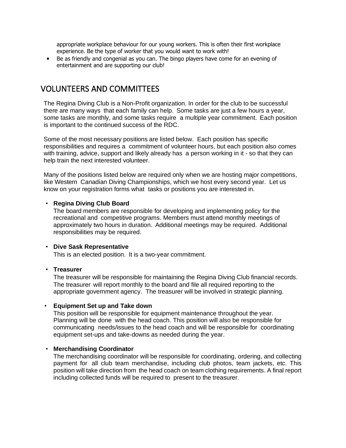appropriate workplace behaviour for our young workers. This is often their first workplace experience. Be the type of worker that you would want to work with!

• Be as friendly and congenial as you can. The bingo players have come for an evening of entertainment and are supporting our club!

## <span id="page-10-0"></span>VOLUNTEERS AND COMMITTEES

The Regina Diving Club is a Non-Profit organization. In order for the club to be successful there are many ways that each family can help. Some tasks are just a few hours a year, some tasks are monthly, and some tasks require a multiple year commitment. Each position is important to the continued success of the RDC.

Some of the most necessary positions are listed below. Each position has specific responsibilities and requires a commitment of volunteer hours, but each position also comes with training, advice, support and likely already has a person working in it - so that they can help train the next interested volunteer.

Many of the positions listed below are required only when we are hosting major competitions, like Western Canadian Diving Championships, which we host every second year. Let us know on your registration forms what tasks or positions you are interested in.

#### • **Regina Diving Club Board**

The board members are responsible for developing and implementing policy for the recreational and competitive programs. Members must attend monthly meetings of approximately two hours in duration. Additional meetings may be required. Additional responsibilities may be required.

#### • **Dive Sask Representative**

This is an elected position. It is a two-year commitment.

## • **Treasurer**

The treasurer will be responsible for maintaining the Regina Diving Club financial records. The treasurer will report monthly to the board and file all required reporting to the appropriate government agency. The treasurer will be involved in strategic planning.

#### • **Equipment Set up and Take down**

This position will be responsible for equipment maintenance throughout the year. Planning will be done with the head coach. This position will also be responsible for communicating needs/issues to the head coach and will be responsible for coordinating equipment set-ups and take-downs as needed during the year.

## • **Merchandising Coordinator**

The merchandising coordinator will be responsible for coordinating, ordering, and collecting payment for all club team merchandise, including club photos, team jackets, etc. This position will take direction from the head coach on team clothing requirements. A final report including collected funds will be required to present to the treasurer.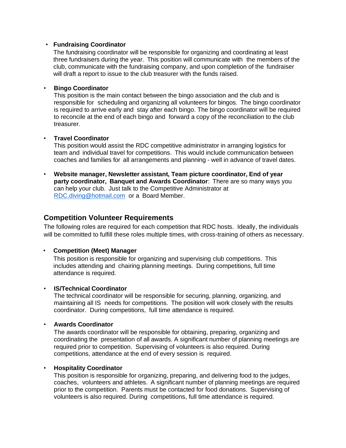#### • **Fundraising Coordinator**

The fundraising coordinator will be responsible for organizing and coordinating at least three fundraisers during the year. This position will communicate with the members of the club, communicate with the fundraising company, and upon completion of the fundraiser will draft a report to issue to the club treasurer with the funds raised.

#### • **Bingo Coordinator**

This position is the main contact between the bingo association and the club and is responsible for scheduling and organizing all volunteers for bingos. The bingo coordinator is required to arrive early and stay after each bingo. The bingo coordinator will be required to reconcile at the end of each bingo and forward a copy of the reconciliation to the club treasurer.

#### • **Travel Coordinator**

This position would assist the RDC competitive administrator in arranging logistics for team and individual travel for competitions. This would include communication between coaches and families for all arrangements and planning - well in advance of travel dates.

• **Website manager, Newsletter assistant, Team picture coordinator, End of year party coordinator, Banquet and Awards Coordinator**: There are so many ways you can help your club. Just talk to the Competitive Administrator at [RDC.diving@hotmail.com](mailto:RDC.diving@hotmail.com) or a Board Member.

## **Competition Volunteer Requirements**

The following roles are required for each competition that RDC hosts. Ideally, the individuals will be committed to fulfill these roles multiple times, with cross-training of others as necessary.

## • **Competition (Meet) Manager**

This position is responsible for organizing and supervising club competitions. This includes attending and chairing planning meetings. During competitions, full time attendance is required.

#### • **IS/Technical Coordinator**

The technical coordinator will be responsible for securing, planning, organizing, and maintaining all IS needs for competitions. The position will work closely with the results coordinator. During competitions, full time attendance is required.

#### • **Awards Coordinator**

The awards coordinator will be responsible for obtaining, preparing, organizing and coordinating the presentation of all awards. A significant number of planning meetings are required prior to competition. Supervising of volunteers is also required. During competitions, attendance at the end of every session is required.

#### • **Hospitality Coordinator**

This position is responsible for organizing, preparing, and delivering food to the judges, coaches, volunteers and athletes. A significant number of planning meetings are required prior to the competition. Parents must be contacted for food donations. Supervising of volunteers is also required. During competitions, full time attendance is required.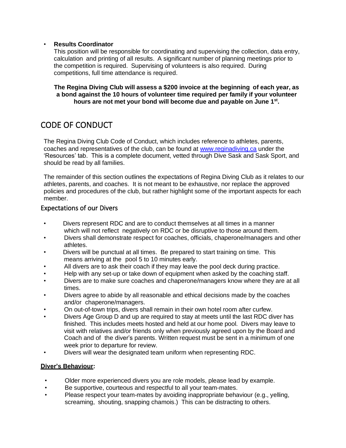## • **Results Coordinator**

This position will be responsible for coordinating and supervising the collection, data entry, calculation and printing of all results. A significant number of planning meetings prior to the competition is required. Supervising of volunteers is also required. During competitions, full time attendance is required.

**The Regina Diving Club will assess a \$200 invoice at the beginning of each year, as a bond against the 10 hours of volunteer time required per family if your volunteer hours are not met your bond will become due and payable on June 1st .**

## <span id="page-12-0"></span>CODE OF CONDUCT

The Regina Diving Club Code of Conduct, which includes reference to athletes, parents, coaches and representatives of the club, can be found at [www.reginadiving.ca](http://www.reginadiving.ca/) under the 'Resources' tab. This is a complete document, vetted through Dive Sask and Sask Sport, and should be read by all families.

The remainder of this section outlines the expectations of Regina Diving Club as it relates to our athletes, parents, and coaches. It is not meant to be exhaustive, nor replace the approved policies and procedures of the club, but rather highlight some of the important aspects for each member.

## <span id="page-12-1"></span>Expectations of our Divers

- Divers represent RDC and are to conduct themselves at all times in a manner which will not reflect negatively on RDC or be disruptive to those around them.
- Divers shall demonstrate respect for coaches, officials, chaperone/managers and other athletes.
- Divers will be punctual at all times. Be prepared to start training on time. This means arriving at the pool 5 to 10 minutes early.
- All divers are to ask their coach if they may leave the pool deck during practice.
- Help with any set-up or take down of equipment when asked by the coaching staff.
- Divers are to make sure coaches and chaperone/managers know where they are at all times.
- Divers agree to abide by all reasonable and ethical decisions made by the coaches and/or chaperone/managers.
- On out-of-town trips, divers shall remain in their own hotel room after curfew.
- Divers Age Group D and up are required to stay at meets until the last RDC diver has finished. This includes meets hosted and held at our home pool. Divers may leave to visit with relatives and/or friends only when previously agreed upon by the Board and Coach and of the diver's parents. Written request must be sent in a minimum of one week prior to departure for review.
- Divers will wear the designated team uniform when representing RDC.

## **Diver's Behaviour:**

- Older more experienced divers you are role models, please lead by example.
- Be supportive, courteous and respectful to all your team-mates.
- Please respect your team-mates by avoiding inappropriate behaviour (e.g., yelling, screaming, shouting, snapping chamois.) This can be distracting to others.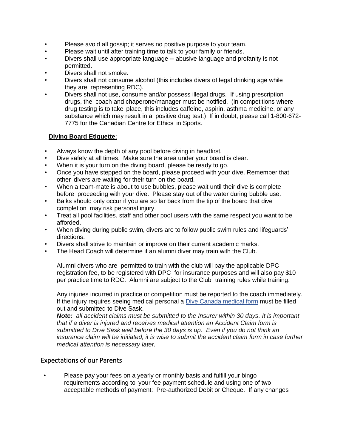- Please avoid all gossip; it serves no positive purpose to your team.
- Please wait until after training time to talk to your family or friends.
- Divers shall use appropriate language -- abusive language and profanity is not permitted.
- Divers shall not smoke.
- Divers shall not consume alcohol (this includes divers of legal drinking age while they are representing RDC).
- Divers shall not use, consume and/or possess illegal drugs. If using prescription drugs, the coach and chaperone/manager must be notified. (In competitions where drug testing is to take place, this includes caffeine, aspirin, asthma medicine, or any substance which may result in a positive drug test.) If in doubt, please call 1-800-672- 7775 for the Canadian Centre for Ethics in Sports.

## **Diving Board Etiquette**:

- Always know the depth of any pool before diving in headfirst.
- Dive safely at all times. Make sure the area under your board is clear.
- When it is your turn on the diving board, please be ready to go.
- Once you have stepped on the board, please proceed with your dive. Remember that other divers are waiting for their turn on the board.
- When a team-mate is about to use bubbles, please wait until their dive is complete before proceeding with your dive. Please stay out of the water during bubble use.
- Balks should only occur if you are so far back from the tip of the board that dive completion may risk personal injury.
- Treat all pool facilities, staff and other pool users with the same respect you want to be afforded.
- When diving during public swim, divers are to follow public swim rules and lifeguards' directions.
- Divers shall strive to maintain or improve on their current academic marks.
- The Head Coach will determine if an alumni diver may train with the Club.

Alumni divers who are permitted to train with the club will pay the applicable DPC registration fee, to be registered with DPC for insurance purposes and will also pay \$10 per practice time to RDC. Alumni are subject to the Club training rules while training.

Any injuries incurred in practice or competition must be reported to the coach immediately. If the injury requires seeing medical personal a [Dive Canada medical](https://diving.ca/wp-content/uploads/2017/11/Accident-Claim-Form-.pdf) form must be filled out and submitted to Dive Sask.

*Note: all accident claims must be submitted to the Insurer within 30 days. It is important that if a diver is injured and receives medical attention an Accident Claim form is submitted to Dive Sask well before the 30 days is up. Even if you do not think an insurance claim will be initiated, it is wise to submit the accident claim form in case further medical attention is necessary later.*

## <span id="page-13-0"></span>Expectations of our Parents

• Please pay your fees on a yearly or monthly basis and fulfill your bingo requirements according to your fee payment schedule and using one of two acceptable methods of payment: Pre-authorized Debit or Cheque. If any changes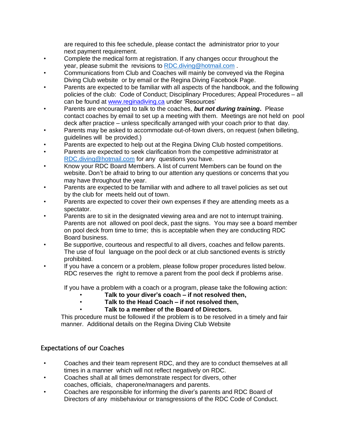are required to this fee schedule, please contact the administrator prior to your next payment requirement.

- Complete the medical form at registration. If any changes occur throughout the year, please submit the revisions to [RDC.diving@hotmail.com](mailto:RDC.diving@hotmail.com) .
- Communications from Club and Coaches will mainly be conveyed via the Regina Diving Club website or by email or the Regina Diving Facebook Page.
- Parents are expected to be familiar with all aspects of the handbook, and the following policies of the club: Code of Conduct; Disciplinary Procedures; Appeal Procedures – all can be found at [www.reginadiving.ca](http://www.reginadiving.ca/) under 'Resources'
- Parents are encouraged to talk to the coaches, *but not during training***.** Please contact coaches by email to set up a meeting with them. Meetings are not held on pool deck after practice – unless specifically arranged with your coach prior to that day.
- Parents may be asked to accommodate out-of-town divers, on request (when billeting, guidelines will be provided.)
- Parents are expected to help out at the Regina Diving Club hosted competitions.
- Parents are expected to seek clarification from the competitive administrator at [RDC.diving@hotmail.com](mailto:RDC.diving@hotmail.com) for any questions you have.
- Know your RDC Board Members. A list of current Members can be found on the website. Don't be afraid to bring to our attention any questions or concerns that you may have throughout the year.
- Parents are expected to be familiar with and adhere to all travel policies as set out by the club for meets held out of town.
- Parents are expected to cover their own expenses if they are attending meets as a spectator.
- Parents are to sit in the designated viewing area and are not to interrupt training. Parents are not allowed on pool deck, past the signs. You may see a board member on pool deck from time to time; this is acceptable when they are conducting RDC Board business.
- Be supportive, courteous and respectful to all divers, coaches and fellow parents. The use of foul language on the pool deck or at club sanctioned events is strictly prohibited.
- If you have a concern or a problem, please follow proper procedures listed below. RDC reserves the right to remove a parent from the pool deck if problems arise.

If you have a problem with a coach or a program, please take the following action:

- **Talk to your diver's coach – if not resolved then,**
- **Talk to the Head Coach – if not resolved then,**
- **Talk to a member of the Board of Directors.**

This procedure must be followed if the problem is to be resolved in a timely and fair manner. Additional details on the Regina Diving Club Website

## <span id="page-14-0"></span>Expectations of our Coaches

- Coaches and their team represent RDC, and they are to conduct themselves at all times in a manner which will not reflect negatively on RDC.
- Coaches shall at all times demonstrate respect for divers, other coaches, officials, chaperone/managers and parents.
- Coaches are responsible for informing the diver's parents and RDC Board of Directors of any misbehaviour or transgressions of the RDC Code of Conduct.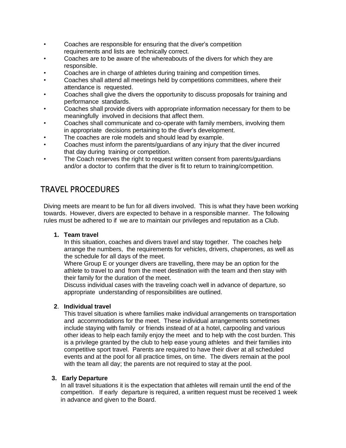- Coaches are responsible for ensuring that the diver's competition requirements and lists are technically correct.
- Coaches are to be aware of the whereabouts of the divers for which they are responsible.
- Coaches are in charge of athletes during training and competition times.
- Coaches shall attend all meetings held by competitions committees, where their attendance is requested.
- Coaches shall give the divers the opportunity to discuss proposals for training and performance standards.
- Coaches shall provide divers with appropriate information necessary for them to be meaningfully involved in decisions that affect them.
- Coaches shall communicate and co-operate with family members, involving them in appropriate decisions pertaining to the diver's development.
- The coaches are role models and should lead by example.
- Coaches must inform the parents/guardians of any injury that the diver incurred that day during training or competition.
- The Coach reserves the right to request written consent from parents/guardians and/or a doctor to confirm that the diver is fit to return to training/competition.

## <span id="page-15-0"></span>TRAVEL PROCEDURES

Diving meets are meant to be fun for all divers involved. This is what they have been working towards. However, divers are expected to behave in a responsible manner. The following rules must be adhered to if we are to maintain our privileges and reputation as a Club.

## **1. Team travel**

In this situation, coaches and divers travel and stay together. The coaches help arrange the numbers, the requirements for vehicles, drivers, chaperones, as well as the schedule for all days of the meet.

Where Group E or younger divers are travelling, there may be an option for the athlete to travel to and from the meet destination with the team and then stay with their family for the duration of the meet.

Discuss individual cases with the traveling coach well in advance of departure, so appropriate understanding of responsibilities are outlined.

## **2**. **Individual travel**

This travel situation is where families make individual arrangements on transportation and accommodations for the meet. These individual arrangements sometimes include staying with family or friends instead of at a hotel, carpooling and various other ideas to help each family enjoy the meet and to help with the cost burden. This is a privilege granted by the club to help ease young athletes and their families into competitive sport travel. Parents are required to have their diver at all scheduled events and at the pool for all practice times, on time. The divers remain at the pool with the team all day; the parents are not required to stay at the pool.

## **3. Early Departure**

In all travel situations it is the expectation that athletes will remain until the end of the competition. If early departure is required, a written request must be received 1 week in advance and given to the Board.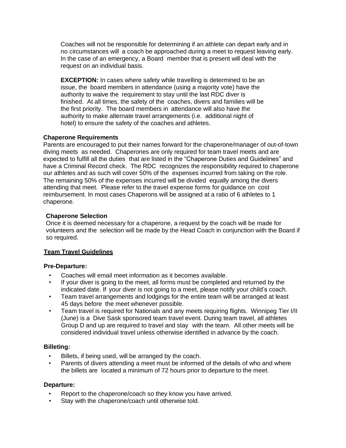Coaches will not be responsible for determining if an athlete can depart early and in no circumstances will a coach be approached during a meet to request leaving early. In the case of an emergency, a Board member that is present will deal with the request on an individual basis.

**EXCEPTION:** In cases where safety while travelling is determined to be an issue, the board members in attendance (using a majority vote) have the authority to waive the requirement to stay until the last RDC diver is finished. At all times, the safety of the coaches, divers and families will be the first priority. The board members in attendance will also have the authority to make alternate travel arrangements (i.e. additional night of hotel) to ensure the safety of the coaches and athletes.

## **Chaperone Requirements**

Parents are encouraged to put their names forward for the chaperone/manager of out-of-town diving meets as needed. Chaperones are only required for team travel meets and are expected to fulfill all the duties that are listed in the "Chaperone Duties and Guidelines" and have a Criminal Record check. The RDC recognizes the responsibility required to chaperone our athletes and as such will cover 50% of the expenses incurred from taking on the role. The remaining 50% of the expenses incurred will be divided equally among the divers attending that meet. Please refer to the travel expense forms for guidance on cost reimbursement. In most cases Chaperons will be assigned at a ratio of 6 athletes to 1 chaperone.

## **Chaperone Selection**

Once it is deemed necessary for a chaperone, a request by the coach will be made for volunteers and the selection will be made by the Head Coach in conjunction with the Board if so required.

## **Team Travel Guidelines**

## **Pre-Departure:**

- Coaches will email meet information as it becomes available.
- If your diver is going to the meet, all forms must be completed and returned by the indicated date. If your diver is not going to a meet, please notify your child's coach.
- Team travel arrangements and lodgings for the entire team will be arranged at least 45 days before the meet whenever possible.
- Team travel is required for Nationals and any meets requiring flights. Winnipeg Tier I/II (June) is a Dive Sask sponsored team travel event. During team travel, all athletes Group D and up are required to travel and stay with the team. All other meets will be considered individual travel unless otherwise identified in advance by the coach.

## **Billeting:**

- Billets, if being used, will be arranged by the coach.
- Parents of divers attending a meet must be informed of the details of who and where the billets are located a minimum of 72 hours prior to departure to the meet.

## **Departure:**

- Report to the chaperone/coach so they know you have arrived.
- Stay with the chaperone/coach until otherwise told.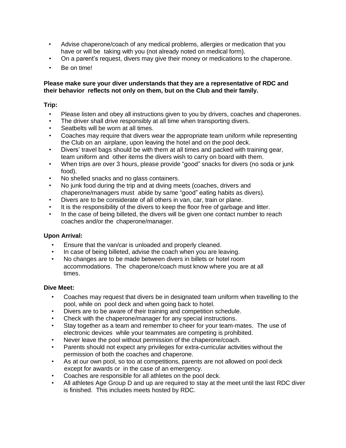- Advise chaperone/coach of any medical problems, allergies or medication that you have or will be taking with you (not already noted on medical form).
- On a parent's request, divers may give their money or medications to the chaperone.
- Be on time!

#### **Please make sure your diver understands that they are a representative of RDC and their behavior reflects not only on them, but on the Club and their family.**

## **Trip:**

- Please listen and obey all instructions given to you by drivers, coaches and chaperones.
- The driver shall drive responsibly at all time when transporting divers.
- Seatbelts will be worn at all times.
- Coaches may require that divers wear the appropriate team uniform while representing the Club on an airplane, upon leaving the hotel and on the pool deck.
- Divers' travel bags should be with them at all times and packed with training gear, team uniform and other items the divers wish to carry on board with them.
- When trips are over 3 hours, please provide "good" snacks for divers (no soda or junk food).
- No shelled snacks and no glass containers.
- No junk food during the trip and at diving meets (coaches, drivers and chaperone/managers must abide by same "good" eating habits as divers).
- Divers are to be considerate of all others in van, car, train or plane.
- It is the responsibility of the divers to keep the floor free of garbage and litter.
- In the case of being billeted, the divers will be given one contact number to reach coaches and/or the chaperone/manager.

## **Upon Arrival:**

- Ensure that the van/car is unloaded and properly cleaned.
- In case of being billeted, advise the coach when you are leaving.
- No changes are to be made between divers in billets or hotel room accommodations. The chaperone/coach must know where you are at all times.

#### **Dive Meet:**

- Coaches may request that divers be in designated team uniform when travelling to the pool, while on pool deck and when going back to hotel.
- Divers are to be aware of their training and competition schedule.
- Check with the chaperone/manager for any special instructions.
- Stay together as a team and remember to cheer for your team-mates. The use of electronic devices while your teammates are competing is prohibited.
- Never leave the pool without permission of the chaperone/coach.
- Parents should not expect any privileges for extra-curricular activities without the permission of both the coaches and chaperone.
- As at our own pool, so too at competitions, parents are not allowed on pool deck except for awards or in the case of an emergency.
- Coaches are responsible for all athletes on the pool deck.
- All athletes Age Group D and up are required to stay at the meet until the last RDC diver is finished. This includes meets hosted by RDC.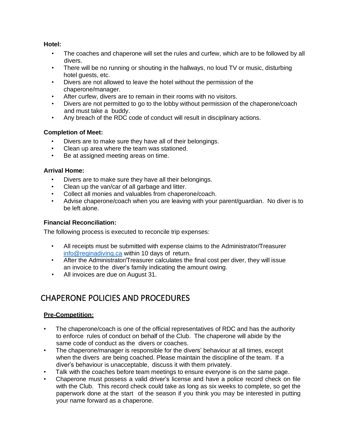## **Hotel:**

- The coaches and chaperone will set the rules and curfew, which are to be followed by all divers.
- There will be no running or shouting in the hallways, no loud TV or music, disturbing hotel guests, etc.
- Divers are not allowed to leave the hotel without the permission of the chaperone/manager.
- After curfew, divers are to remain in their rooms with no visitors.
- Divers are not permitted to go to the lobby without permission of the chaperone/coach and must take a buddy.
- Any breach of the RDC code of conduct will result in disciplinary actions.

## **Completion of Meet:**

- Divers are to make sure they have all of their belongings.
- Clean up area where the team was stationed.
- Be at assigned meeting areas on time.

## **Arrival Home:**

- Divers are to make sure they have all their belongings.
- Clean up the van/car of all garbage and litter.
- Collect all monies and valuables from chaperone/coach.
- Advise chaperone/coach when you are leaving with your parent/guardian. No diver is to be left alone.

## **Financial Reconciliation:**

The following process is executed to reconcile trip expenses:

- All receipts must be submitted with expense claims to the Administrator/Treasurer [info@reginadiving.ca](mailto:info@reginadiving.ca) within 10 days of return.
- After the Administrator/Treasurer calculates the final cost per diver, they will issue an invoice to the diver's family indicating the amount owing.
- All invoices are due on August 31.

## <span id="page-18-0"></span>CHAPERONE POLICIES AND PROCEDURES

## **Pre-Competition:**

- The chaperone/coach is one of the official representatives of RDC and has the authority to enforce rules of conduct on behalf of the Club. The chaperone will abide by the same code of conduct as the divers or coaches.
- The chaperone/manager is responsible for the divers' behaviour at all times, except when the divers are being coached. Please maintain the discipline of the team. If a diver's behaviour is unacceptable, discuss it with them privately.
- Talk with the coaches before team meetings to ensure everyone is on the same page.
- Chaperone must possess a valid driver's license and have a police record check on file with the Club. This record check could take as long as six weeks to complete, so get the paperwork done at the start of the season if you think you may be interested in putting your name forward as a chaperone.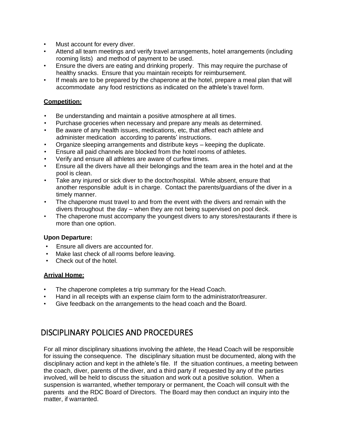- Must account for every diver.
- Attend all team meetings and verify travel arrangements, hotel arrangements (including rooming lists) and method of payment to be used.
- Ensure the divers are eating and drinking properly. This may require the purchase of healthy snacks. Ensure that you maintain receipts for reimbursement.
- If meals are to be prepared by the chaperone at the hotel, prepare a meal plan that will accommodate any food restrictions as indicated on the athlete's travel form.

## **Competition:**

- Be understanding and maintain a positive atmosphere at all times.
- Purchase groceries when necessary and prepare any meals as determined.
- Be aware of any health issues, medications, etc, that affect each athlete and administer medication according to parents' instructions.
- Organize sleeping arrangements and distribute keys keeping the duplicate.
- Ensure all paid channels are blocked from the hotel rooms of athletes.
- Verify and ensure all athletes are aware of curfew times.
- Ensure all the divers have all their belongings and the team area in the hotel and at the pool is clean.
- Take any injured or sick diver to the doctor/hospital. While absent, ensure that another responsible adult is in charge. Contact the parents/guardians of the diver in a timely manner.
- The chaperone must travel to and from the event with the divers and remain with the divers throughout the day – when they are not being supervised on pool deck.
- The chaperone must accompany the youngest divers to any stores/restaurants if there is more than one option.

## **Upon Departure:**

- Ensure all divers are accounted for.
- Make last check of all rooms before leaving.
- Check out of the hotel.

## **Arrival Home:**

- The chaperone completes a trip summary for the Head Coach.
- Hand in all receipts with an expense claim form to the administrator/treasurer.
- Give feedback on the arrangements to the head coach and the Board.

## <span id="page-19-0"></span>DISCIPLINARY POLICIES AND PROCEDURES

For all minor disciplinary situations involving the athlete, the Head Coach will be responsible for issuing the consequence. The disciplinary situation must be documented, along with the disciplinary action and kept in the athlete's file. If the situation continues, a meeting between the coach, diver, parents of the diver, and a third party if requested by any of the parties involved, will be held to discuss the situation and work out a positive solution. When a suspension is warranted, whether temporary or permanent, the Coach will consult with the parents and the RDC Board of Directors. The Board may then conduct an inquiry into the matter, if warranted.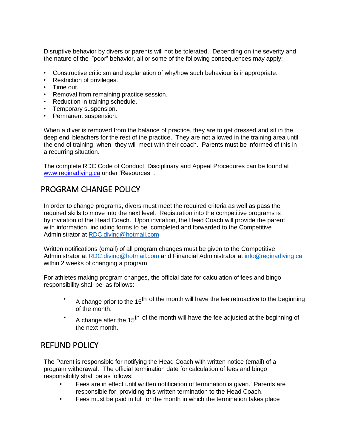Disruptive behavior by divers or parents will not be tolerated. Depending on the severity and the nature of the "poor" behavior, all or some of the following consequences may apply:

- Constructive criticism and explanation of why/how such behaviour is inappropriate.
- Restriction of privileges.
- Time out.
- Removal from remaining practice session.
- Reduction in training schedule.
- Temporary suspension.
- Permanent suspension.

When a diver is removed from the balance of practice, they are to get dressed and sit in the deep end bleachers for the rest of the practice. They are not allowed in the training area until the end of training, when they will meet with their coach. Parents must be informed of this in a recurring situation.

The complete RDC Code of Conduct, Disciplinary and Appeal Procedures can be found at [www.reginadiving.ca](http://www.reginadiving.ca/) under 'Resources' .

## <span id="page-20-0"></span>PROGRAM CHANGE POLICY

In order to change programs, divers must meet the required criteria as well as pass the required skills to move into the next level. Registration into the competitive programs is by invitation of the Head Coach. Upon invitation, the Head Coach will provide the parent with information, including forms to be completed and forwarded to the Competitive Administrator at [RDC.diving@hotmail.com](mailto:RDC.diving@hotmail.com)

Written notifications (email) of all program changes must be given to the Competitive Administrator at [RDC.diving@hotmail.com](mailto:RDC.diving@hotmail.com) and Financial Administrator at [info@reginadiving.ca](mailto:info@reginadiving.ca) within 2 weeks of changing a program.

For athletes making program changes, the official date for calculation of fees and bingo responsibility shall be as follows:

- A change prior to the 15<sup>th</sup> of the month will have the fee retroactive to the beginning of the month.
- A change after the 15<sup>th</sup> of the month will have the fee adjusted at the beginning of the next month.

## <span id="page-20-1"></span>REFUND POLICY

The Parent is responsible for notifying the Head Coach with written notice (email) of a program withdrawal. The official termination date for calculation of fees and bingo responsibility shall be as follows:

- Fees are in effect until written notification of termination is given. Parents are responsible for providing this written termination to the Head Coach.
- Fees must be paid in full for the month in which the termination takes place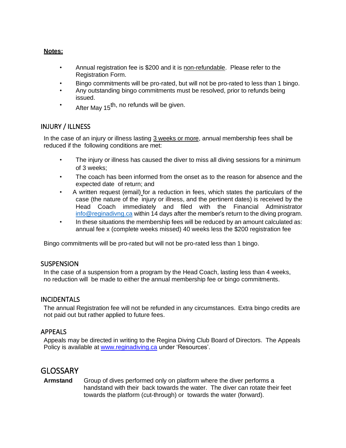## **Notes:**

- Annual registration fee is \$200 and it is non-refundable. Please refer to the Registration Form.
- Bingo commitments will be pro-rated, but will not be pro-rated to less than 1 bingo.
- Any outstanding bingo commitments must be resolved, prior to refunds being issued.
- After May 15<sup>th, no refunds will be given.</sup>

## <span id="page-21-0"></span>INJURY / ILLNESS

In the case of an injury or illness lasting 3 weeks or more, annual membership fees shall be reduced if the following conditions are met:

- The injury or illness has caused the diver to miss all diving sessions for a minimum of 3 weeks;
- The coach has been informed from the onset as to the reason for absence and the expected date of return; and
- A written request (email) for a reduction in fees, which states the particulars of the case (the nature of the injury or illness, and the pertinent dates) is received by the Head Coach immediately and filed with the Financial Administrator [info@reginadivng.ca](mailto:info@reginadivng.ca) within 14 days after the member's return to the diving program.
- In these situations the membership fees will be reduced by an amount calculated as: annual fee x (complete weeks missed) 40 weeks less the \$200 registration fee

Bingo commitments will be pro-rated but will not be pro-rated less than 1 bingo.

## <span id="page-21-1"></span>**SUSPENSION**

In the case of a suspension from a program by the Head Coach, lasting less than 4 weeks, no reduction will be made to either the annual membership fee or bingo commitments.

## <span id="page-21-2"></span>**INCIDENTALS**

The annual Registration fee will not be refunded in any circumstances. Extra bingo credits are not paid out but rather applied to future fees.

## <span id="page-21-3"></span>APPEALS

Appeals may be directed in writing to the Regina Diving Club Board of Directors. The Appeals Policy is available at [www.reginadiving.ca](http://www.reginadiving.ca/) under 'Resources'.

## <span id="page-21-4"></span>**GLOSSARY**

**Armstand** Group of dives performed only on platform where the diver performs a handstand with their back towards the water. The diver can rotate their feet towards the platform (cut-through) or towards the water (forward).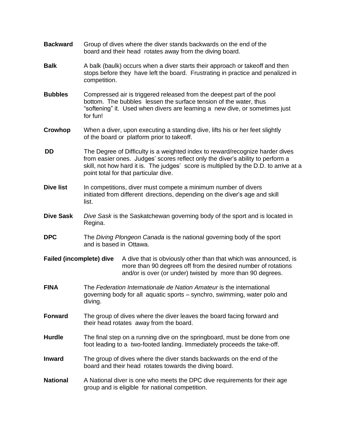| <b>Backward</b>                 |                                                                                                                                                                                                                                                                                                   | Group of dives where the diver stands backwards on the end of the<br>board and their head rotates away from the diving board.                                                                   |  |
|---------------------------------|---------------------------------------------------------------------------------------------------------------------------------------------------------------------------------------------------------------------------------------------------------------------------------------------------|-------------------------------------------------------------------------------------------------------------------------------------------------------------------------------------------------|--|
| <b>Balk</b>                     | A balk (baulk) occurs when a diver starts their approach or takeoff and then<br>stops before they have left the board. Frustrating in practice and penalized in<br>competition.                                                                                                                   |                                                                                                                                                                                                 |  |
| <b>Bubbles</b>                  | Compressed air is triggered released from the deepest part of the pool<br>bottom. The bubbles lessen the surface tension of the water, thus<br>"softening" it. Used when divers are learning a new dive, or sometimes just<br>for fun!                                                            |                                                                                                                                                                                                 |  |
| <b>Crowhop</b>                  | When a diver, upon executing a standing dive, lifts his or her feet slightly<br>of the board or platform prior to takeoff.                                                                                                                                                                        |                                                                                                                                                                                                 |  |
| DD                              | The Degree of Difficulty is a weighted index to reward/recognize harder dives<br>from easier ones. Judges' scores reflect only the diver's ability to perform a<br>skill, not how hard it is. The judges' score is multiplied by the D.D. to arrive at a<br>point total for that particular dive. |                                                                                                                                                                                                 |  |
| <b>Dive list</b>                | In competitions, diver must compete a minimum number of divers<br>initiated from different directions, depending on the diver's age and skill<br>list.                                                                                                                                            |                                                                                                                                                                                                 |  |
| <b>Dive Sask</b>                | Dive Sask is the Saskatchewan governing body of the sport and is located in<br>Regina.                                                                                                                                                                                                            |                                                                                                                                                                                                 |  |
| <b>DPC</b>                      | The Diving Plongeon Canada is the national governing body of the sport<br>and is based in Ottawa.                                                                                                                                                                                                 |                                                                                                                                                                                                 |  |
| <b>Failed (incomplete) dive</b> |                                                                                                                                                                                                                                                                                                   | A dive that is obviously other than that which was announced, is<br>more than 90 degrees off from the desired number of rotations<br>and/or is over (or under) twisted by more than 90 degrees. |  |
| <b>FINA</b>                     | The Federation Internationale de Nation Amateur is the international<br>governing body for all aquatic sports – synchro, swimming, water polo and<br>diving.                                                                                                                                      |                                                                                                                                                                                                 |  |
| <b>Forward</b>                  | The group of dives where the diver leaves the board facing forward and<br>their head rotates away from the board.                                                                                                                                                                                 |                                                                                                                                                                                                 |  |
| <b>Hurdle</b>                   | The final step on a running dive on the springboard, must be done from one<br>foot leading to a two-footed landing. Immediately proceeds the take-off.                                                                                                                                            |                                                                                                                                                                                                 |  |
| <b>Inward</b>                   | The group of dives where the diver stands backwards on the end of the<br>board and their head rotates towards the diving board.                                                                                                                                                                   |                                                                                                                                                                                                 |  |
| <b>National</b>                 | A National diver is one who meets the DPC dive requirements for their age<br>group and is eligible for national competition.                                                                                                                                                                      |                                                                                                                                                                                                 |  |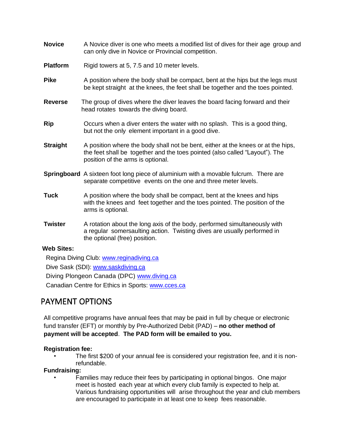| <b>Novice</b>   | A Novice diver is one who meets a modified list of dives for their age group and<br>can only dive in Novice or Provincial competition.                                                               |
|-----------------|------------------------------------------------------------------------------------------------------------------------------------------------------------------------------------------------------|
| <b>Platform</b> | Rigid towers at 5, 7.5 and 10 meter levels.                                                                                                                                                          |
| <b>Pike</b>     | A position where the body shall be compact, bent at the hips but the legs must<br>be kept straight at the knees, the feet shall be together and the toes pointed.                                    |
| <b>Reverse</b>  | The group of dives where the diver leaves the board facing forward and their<br>head rotates towards the diving board.                                                                               |
| <b>Rip</b>      | Occurs when a diver enters the water with no splash. This is a good thing,<br>but not the only element important in a good dive.                                                                     |
| <b>Straight</b> | A position where the body shall not be bent, either at the knees or at the hips,<br>the feet shall be together and the toes pointed (also called "Layout"). The<br>position of the arms is optional. |
|                 | <b>Springboard</b> A sixteen foot long piece of aluminium with a movable fulcrum. There are<br>separate competitive events on the one and three meter levels.                                        |
| <b>Tuck</b>     | A position where the body shall be compact, bent at the knees and hips<br>with the knees and feet together and the toes pointed. The position of the<br>arms is optional.                            |
| <b>Twister</b>  | A rotation about the long axis of the body, performed simultaneously with<br>a regular somersaulting action. Twisting dives are usually performed in<br>the optional (free) position.                |

## **Web Sites:**

Regina Diving Club: [www.reginadiving.ca](http://www.reginadiving.ca/) Dive Sask (SDI): [www.saskdiving.ca](http://www.saskdiving.ca/) Diving Plongeon Canada (DPC) [www.diving.ca](http://www.diving.ca/) Canadian Centre for Ethics in Sports: [www.cces.ca](http://www.cces.ca/)

## <span id="page-23-0"></span>PAYMENT OPTIONS

All competitive programs have annual fees that may be paid in full by cheque or electronic fund transfer (EFT) or monthly by Pre-Authorized Debit (PAD) – **no other method of payment will be accepted**. **The PAD form will be emailed to you.**

## **Registration fee:**

• The first \$200 of your annual fee is considered your registration fee, and it is nonrefundable.

## **Fundraising:**

• Families may reduce their fees by participating in optional bingos. One major meet is hosted each year at which every club family is expected to help at. Various fundraising opportunities will arise throughout the year and club members are encouraged to participate in at least one to keep fees reasonable.